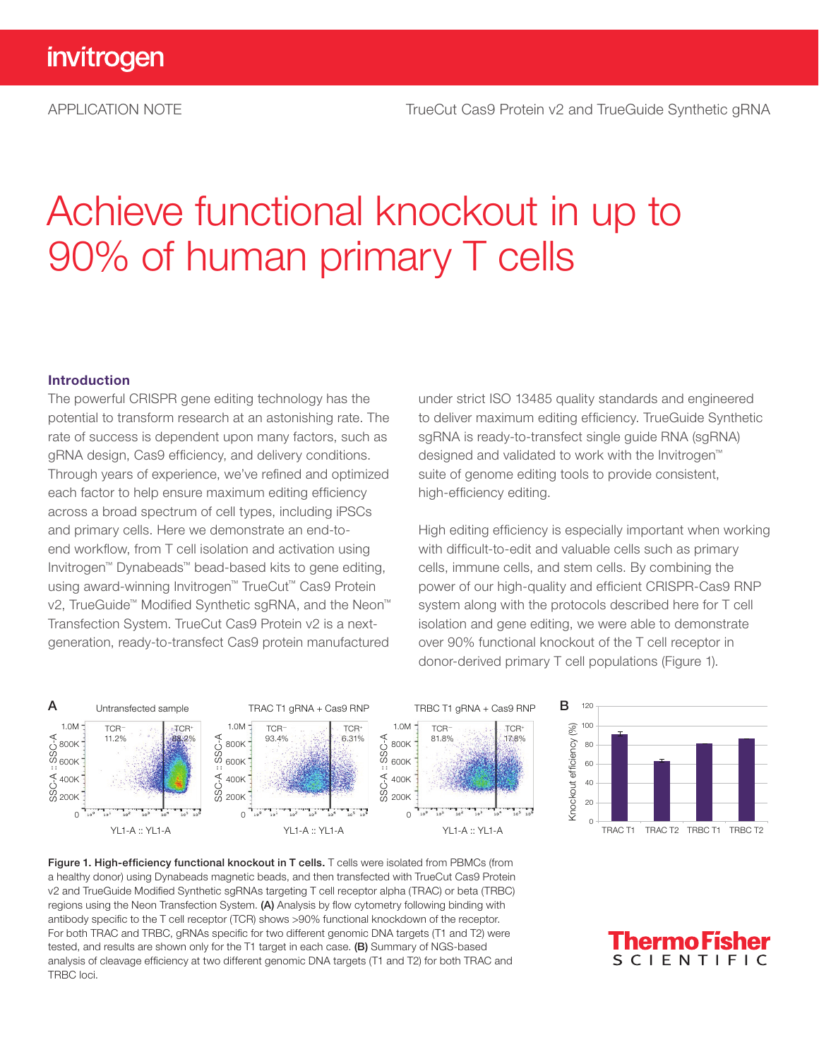# Achieve functional knockout in up to 90% of human primary T cells

#### Introduction

The powerful CRISPR gene editing technology has the potential to transform research at an astonishing rate. The rate of success is dependent upon many factors, such as gRNA design, Cas9 efficiency, and delivery conditions. Through years of experience, we've refined and optimized each factor to help ensure maximum editing efficiency across a broad spectrum of cell types, including iPSCs and primary cells. Here we demonstrate an end-toend workflow, from T cell isolation and activation using Invitrogen™ Dynabeads™ bead-based kits to gene editing, using award-winning Invitrogen™ TrueCut™ Cas9 Protein v2, TrueGuide™ Modified Synthetic sgRNA, and the Neon™ Transfection System. TrueCut Cas9 Protein v2 is a nextgeneration, ready-to-transfect Cas9 protein manufactured

under strict ISO 13485 quality standards and engineered to deliver maximum editing efficiency. TrueGuide Synthetic sgRNA is ready-to-transfect single guide RNA (sgRNA) designed and validated to work with the Invitrogen™ suite of genome editing tools to provide consistent, high-efficiency editing.

High editing efficiency is especially important when working with difficult-to-edit and valuable cells such as primary cells, immune cells, and stem cells. By combining the power of our high-quality and efficient CRISPR-Cas9 RNP system along with the protocols described here for T cell isolation and gene editing, we were able to demonstrate over 90% functional knockout of the T cell receptor in donor-derived primary T cell populations (Figure 1).





Figure 1. High-efficiency functional knockout in T cells. T cells were isolated from PBMCs (from a healthy donor) using Dynabeads magnetic beads, and then transfected with TrueCut Cas9 Protein v2 and TrueGuide Modified Synthetic sgRNAs targeting T cell receptor alpha (TRAC) or beta (TRBC) regions using the Neon Transfection System. (A) Analysis by flow cytometry following binding with antibody specific to the T cell receptor (TCR) shows >90% functional knockdown of the receptor. For both TRAC and TRBC, gRNAs specific for two different genomic DNA targets (T1 and T2) were tested, and results are shown only for the T1 target in each case. (B) Summary of NGS-based analysis of cleavage efficiency at two different genomic DNA targets (T1 and T2) for both TRAC and TRBC loci.

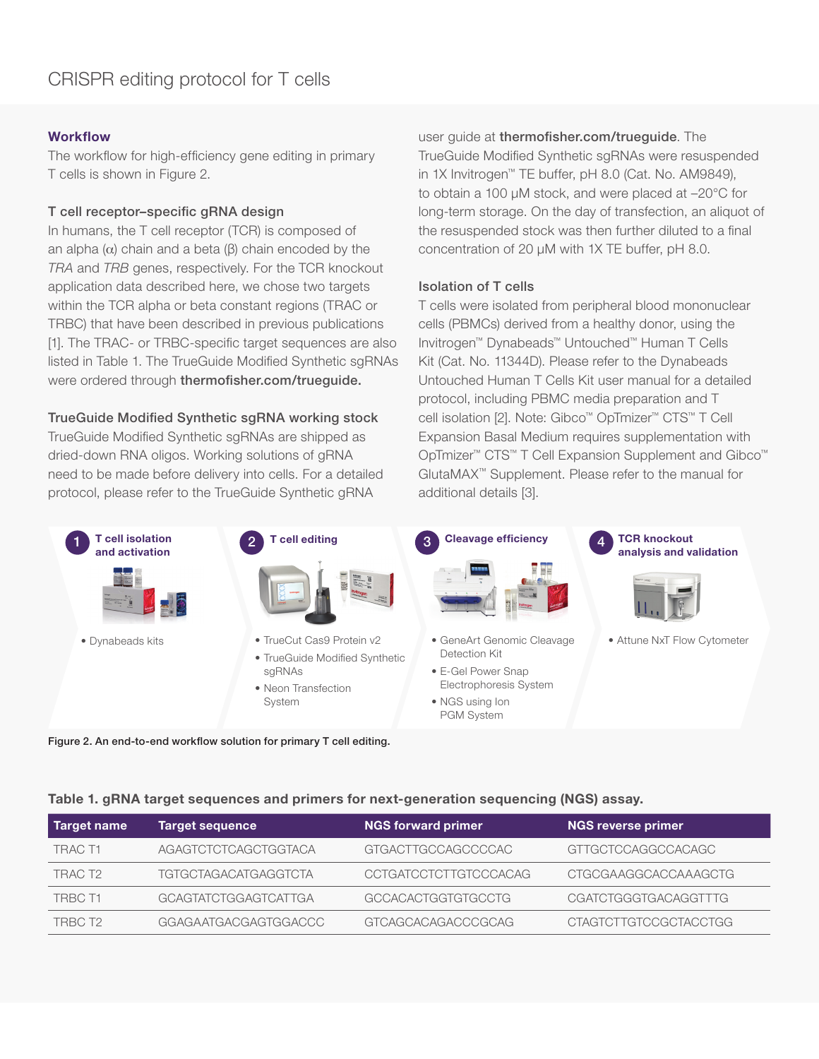## **Workflow**

The workflow for high-efficiency gene editing in primary T cells is shown in Figure 2.

#### T cell receptor–specific gRNA design

In humans, the T cell receptor (TCR) is composed of an alpha ( $α$ ) chain and a beta ( $β$ ) chain encoded by the *TRA* and *TRB* genes, respectively. For the TCR knockout application data described here, we chose two targets within the TCR alpha or beta constant regions (TRAC or TRBC) that have been described in previous publications [1]. The TRAC- or TRBC-specific target sequences are also listed in Table 1. The TrueGuide Modified Synthetic sgRNAs were ordered through thermofisher.com/trueguide.

### TrueGuide Modified Synthetic sgRNA working stock

TrueGuide Modified Synthetic sgRNAs are shipped as dried-down RNA oligos. Working solutions of gRNA need to be made before delivery into cells. For a detailed protocol, please refer to the TrueGuide Synthetic gRNA

user guide at thermofisher.com/trueguide. The TrueGuide Modified Synthetic sgRNAs were resuspended in 1X Invitrogen™ TE buffer, pH 8.0 (Cat. No. AM9849), to obtain a 100 µM stock, and were placed at –20°C for long-term storage. On the day of transfection, an aliquot of the resuspended stock was then further diluted to a final concentration of 20 µM with 1X TE buffer, pH 8.0.

#### Isolation of T cells

T cells were isolated from peripheral blood mononuclear cells (PBMCs) derived from a healthy donor, using the Invitrogen™ Dynabeads™ Untouched™ Human T Cells Kit (Cat. No. 11344D). Please refer to the Dynabeads Untouched Human T Cells Kit user manual for a detailed protocol, including PBMC media preparation and T cell isolation [2]. Note: Gibco™ OpTmizer™ CTS™ T Cell Expansion Basal Medium requires supplementation with OpTmizer™ CTS™ T Cell Expansion Supplement and Gibco™ GlutaMAX™ Supplement. Please refer to the manual for additional details [3].



#### Table 1. gRNA target sequences and primers for next-generation sequencing (NGS) assay.

| <b>Target name</b> | <b>Target sequence</b>      | <b>NGS forward primer</b>    | <b>NGS reverse primer</b>    |
|--------------------|-----------------------------|------------------------------|------------------------------|
| TRAC T1            | AGAGTCTCTCAGCTGGTACA        | GTGACTTGCCAGCCCCAC           | GTTGCTCCAGGCCACAGC           |
| TRAC T2            | TGTGCTAGACATGAGGTCTA        | <b>CCTGATCCTCTTGTCCCACAG</b> | <b>CTGCGAAGGCACCAAAGCTG</b>  |
| TRBC T1            | <b>GCAGTATCTGGAGTCATTGA</b> | GCCACACTGGTGTGCCTG           | <b>CGATCTGGGTGACAGGTTTG</b>  |
| TRBC T2            | GGAGAATGACGAGTGGACCC        | GTCAGCACAGACCCGCAG           | <b>CTAGTCTTGTCCGCTACCTGG</b> |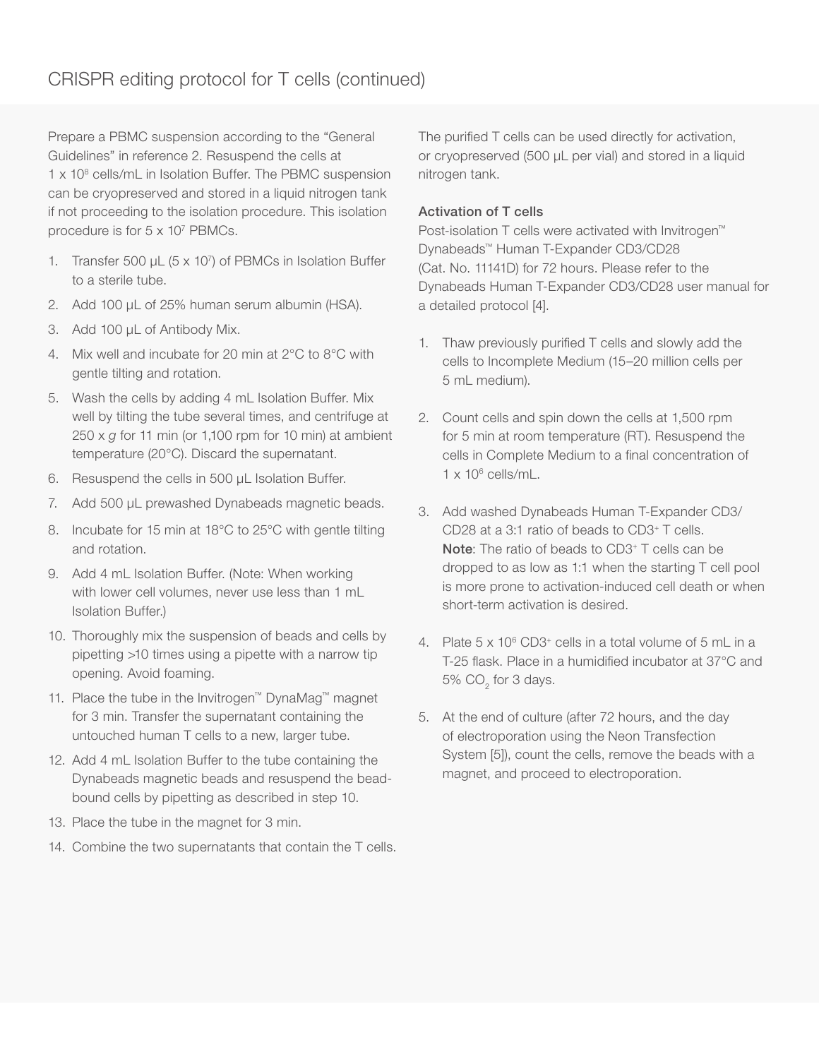Prepare a PBMC suspension according to the "General Guidelines" in reference 2. Resuspend the cells at 1 x 10<sup>8</sup> cells/mL in Isolation Buffer. The PBMC suspension can be cryopreserved and stored in a liquid nitrogen tank if not proceeding to the isolation procedure. This isolation procedure is for 5 x 10<sup>7</sup> PBMCs.

- 1. Transfer 500 μL (5 x 107) of PBMCs in Isolation Buffer to a sterile tube.
- 2. Add 100 μL of 25% human serum albumin (HSA).
- 3. Add 100 μL of Antibody Mix.
- 4. Mix well and incubate for 20 min at 2°C to 8°C with gentle tilting and rotation.
- 5. Wash the cells by adding 4 mL Isolation Buffer. Mix well by tilting the tube several times, and centrifuge at 250 x *g* for 11 min (or 1,100 rpm for 10 min) at ambient temperature (20°C). Discard the supernatant.
- 6. Resuspend the cells in 500 μL Isolation Buffer.
- 7. Add 500 μL prewashed Dynabeads magnetic beads.
- 8. Incubate for 15 min at 18°C to 25°C with gentle tilting and rotation.
- 9. Add 4 mL Isolation Buffer. (Note: When working with lower cell volumes, never use less than 1 mL Isolation Buffer.)
- 10. Thoroughly mix the suspension of beads and cells by pipetting >10 times using a pipette with a narrow tip opening. Avoid foaming.
- 11. Place the tube in the Invitrogen™ DynaMag™ magnet for 3 min. Transfer the supernatant containing the untouched human T cells to a new, larger tube.
- 12. Add 4 mL Isolation Buffer to the tube containing the Dynabeads magnetic beads and resuspend the beadbound cells by pipetting as described in step 10.
- 13. Place the tube in the magnet for 3 min.
- 14. Combine the two supernatants that contain the T cells.

The purified T cells can be used directly for activation, or cryopreserved (500 µL per vial) and stored in a liquid nitrogen tank.

### Activation of T cells

Post-isolation T cells were activated with Invitrogen<sup>™</sup> Dynabeads™ Human T-Expander CD3/CD28 (Cat. No. 11141D) for 72 hours. Please refer to the Dynabeads Human T-Expander CD3/CD28 user manual for a detailed protocol [4].

- 1. Thaw previously purified T cells and slowly add the cells to Incomplete Medium (15–20 million cells per 5 mL medium).
- 2. Count cells and spin down the cells at 1,500 rpm for 5 min at room temperature (RT). Resuspend the cells in Complete Medium to a final concentration of 1 x 106 cells/mL.
- 3. Add washed Dynabeads Human T-Expander CD3/ CD28 at a 3:1 ratio of beads to CD3+ T cells. Note: The ratio of beads to CD3+ T cells can be dropped to as low as 1:1 when the starting T cell pool is more prone to activation-induced cell death or when short-term activation is desired.
- 4. Plate  $5 \times 10^6$  CD3<sup>+</sup> cells in a total volume of  $5$  mL in a T-25 flask. Place in a humidified incubator at 37°C and 5%  $\mathrm{CO}_2^{\phantom{\dag}}$  for 3 days.
- 5. At the end of culture (after 72 hours, and the day of electroporation using the Neon Transfection System [5]), count the cells, remove the beads with a magnet, and proceed to electroporation.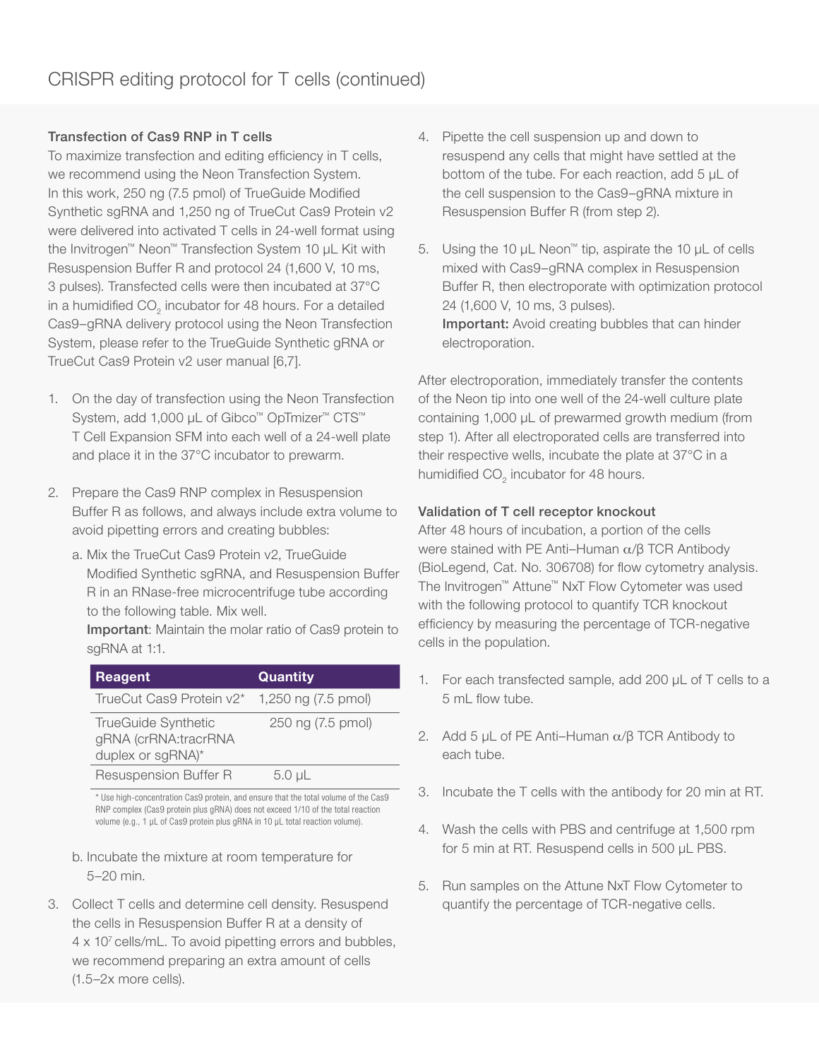# Transfection of Cas9 RNP in T cells

To maximize transfection and editing efficiency in T cells, we recommend using the Neon Transfection System. In this work, 250 ng (7.5 pmol) of TrueGuide Modified Synthetic sgRNA and 1,250 ng of TrueCut Cas9 Protein v2 were delivered into activated T cells in 24-well format using the Invitrogen™ Neon™ Transfection System 10 µL Kit with Resuspension Buffer R and protocol 24 (1,600 V, 10 ms, 3 pulses). Transfected cells were then incubated at 37°C in a humidified CO<sub>2</sub> incubator for 48 hours. For a detailed Cas9–gRNA delivery protocol using the Neon Transfection System, please refer to the TrueGuide Synthetic gRNA or TrueCut Cas9 Protein v2 user manual [6,7].

- 1. On the day of transfection using the Neon Transfection System, add 1,000 μL of Gibco<sup>™</sup> OpTmizer<sup>™</sup> CTS™ T Cell Expansion SFM into each well of a 24-well plate and place it in the 37°C incubator to prewarm.
- 2. Prepare the Cas9 RNP complex in Resuspension Buffer R as follows, and always include extra volume to avoid pipetting errors and creating bubbles:
	- a. Mix the TrueCut Cas9 Protein v2, TrueGuide Modified Synthetic sgRNA, and Resuspension Buffer R in an RNase-free microcentrifuge tube according to the following table. Mix well.

Important: Maintain the molar ratio of Cas9 protein to sgRNA at 1:1.

| Reagent                                                                 | Quantity          |
|-------------------------------------------------------------------------|-------------------|
| TrueCut Cas9 Protein v2* 1,250 ng (7.5 pmol)                            |                   |
| <b>TrueGuide Synthetic</b><br>gRNA (crRNA:tracrRNA<br>duplex or sgRNA)* | 250 ng (7.5 pmol) |
| Resuspension Buffer R                                                   | $5.0 \mu L$       |

\* Use high-concentration Cas9 protein, and ensure that the total volume of the Cas9 RNP complex (Cas9 protein plus gRNA) does not exceed 1/10 of the total reaction volume (e.g., 1 μL of Cas9 protein plus gRNA in 10 μL total reaction volume).

- b. Incubate the mixture at room temperature for 5–20 min.
- 3. Collect T cells and determine cell density. Resuspend the cells in Resuspension Buffer R at a density of 4 x 107 cells/mL. To avoid pipetting errors and bubbles, we recommend preparing an extra amount of cells (1.5–2x more cells).
- 4. Pipette the cell suspension up and down to resuspend any cells that might have settled at the bottom of the tube. For each reaction, add 5 μL of the cell suspension to the Cas9–gRNA mixture in Resuspension Buffer R (from step 2).
- 5. Using the 10 μL Neon™ tip, aspirate the 10 μL of cells mixed with Cas9–gRNA complex in Resuspension Buffer R, then electroporate with optimization protocol 24 (1,600 V, 10 ms, 3 pulses). Important: Avoid creating bubbles that can hinder electroporation.

After electroporation, immediately transfer the contents of the Neon tip into one well of the 24-well culture plate containing 1,000 μL of prewarmed growth medium (from step 1). After all electroporated cells are transferred into their respective wells, incubate the plate at 37°C in a humidified  $CO<sub>2</sub>$  incubator for 48 hours.

# Validation of T cell receptor knockout

After 48 hours of incubation, a portion of the cells were stained with PE Anti–Human α/β TCR Antibody (BioLegend, Cat. No. 306708) for flow cytometry analysis. The Invitrogen™ Attune™ NxT Flow Cytometer was used with the following protocol to quantify TCR knockout efficiency by measuring the percentage of TCR-negative cells in the population.

- 1. For each transfected sample, add 200 µL of T cells to a 5 mL flow tube.
- 2. Add 5  $\mu$ L of PE Anti–Human  $\alpha$ / $\beta$  TCR Antibody to each tube.
- 3. Incubate the T cells with the antibody for 20 min at RT.
- 4. Wash the cells with PBS and centrifuge at 1,500 rpm for 5 min at RT. Resuspend cells in 500 µL PBS.
- 5. Run samples on the Attune NxT Flow Cytometer to quantify the percentage of TCR-negative cells.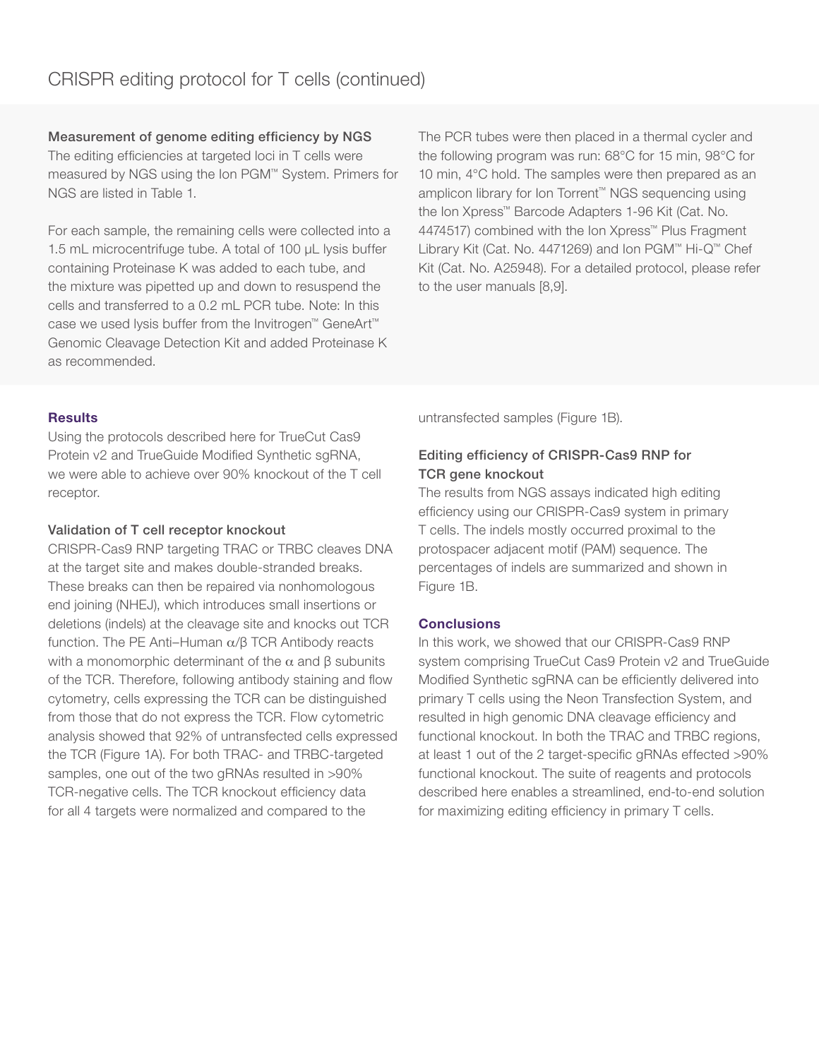Measurement of genome editing efficiency by NGS

The editing efficiencies at targeted loci in T cells were measured by NGS using the Ion PGM™ System. Primers for NGS are listed in Table 1.

For each sample, the remaining cells were collected into a 1.5 mL microcentrifuge tube. A total of 100 µL lysis buffer containing Proteinase K was added to each tube, and the mixture was pipetted up and down to resuspend the cells and transferred to a 0.2 mL PCR tube. Note: In this case we used lysis buffer from the Invitrogen™ GeneArt™ Genomic Cleavage Detection Kit and added Proteinase K as recommended.

The PCR tubes were then placed in a thermal cycler and the following program was run: 68°C for 15 min, 98°C for 10 min, 4°C hold. The samples were then prepared as an amplicon library for Ion Torrent™ NGS sequencing using the Ion Xpress™ Barcode Adapters 1-96 Kit (Cat. No. 4474517) combined with the Ion Xpress™ Plus Fragment Library Kit (Cat. No. 4471269) and Ion PGM™ Hi-Q™ Chef Kit (Cat. No. A25948). For a detailed protocol, please refer to the user manuals [8,9].

# **Results**

Using the protocols described here for TrueCut Cas9 Protein v2 and TrueGuide Modified Synthetic sgRNA, we were able to achieve over 90% knockout of the T cell receptor.

### Validation of T cell receptor knockout

CRISPR-Cas9 RNP targeting TRAC or TRBC cleaves DNA at the target site and makes double-stranded breaks. These breaks can then be repaired via nonhomologous end joining (NHEJ), which introduces small insertions or deletions (indels) at the cleavage site and knocks out TCR function. The PE Anti–Human α/β TCR Antibody reacts with a monomorphic determinant of the  $α$  and  $β$  subunits of the TCR. Therefore, following antibody staining and flow cytometry, cells expressing the TCR can be distinguished from those that do not express the TCR. Flow cytometric analysis showed that 92% of untransfected cells expressed the TCR (Figure 1A). For both TRAC- and TRBC-targeted samples, one out of the two gRNAs resulted in >90% TCR-negative cells. The TCR knockout efficiency data for all 4 targets were normalized and compared to the

untransfected samples (Figure 1B).

# Editing efficiency of CRISPR-Cas9 RNP for TCR gene knockout

The results from NGS assays indicated high editing efficiency using our CRISPR-Cas9 system in primary T cells. The indels mostly occurred proximal to the protospacer adjacent motif (PAM) sequence. The percentages of indels are summarized and shown in Figure 1B.

### **Conclusions**

In this work, we showed that our CRISPR-Cas9 RNP system comprising TrueCut Cas9 Protein v2 and TrueGuide Modified Synthetic sgRNA can be efficiently delivered into primary T cells using the Neon Transfection System, and resulted in high genomic DNA cleavage efficiency and functional knockout. In both the TRAC and TRBC regions, at least 1 out of the 2 target-specific gRNAs effected >90% functional knockout. The suite of reagents and protocols described here enables a streamlined, end-to-end solution for maximizing editing efficiency in primary T cells.